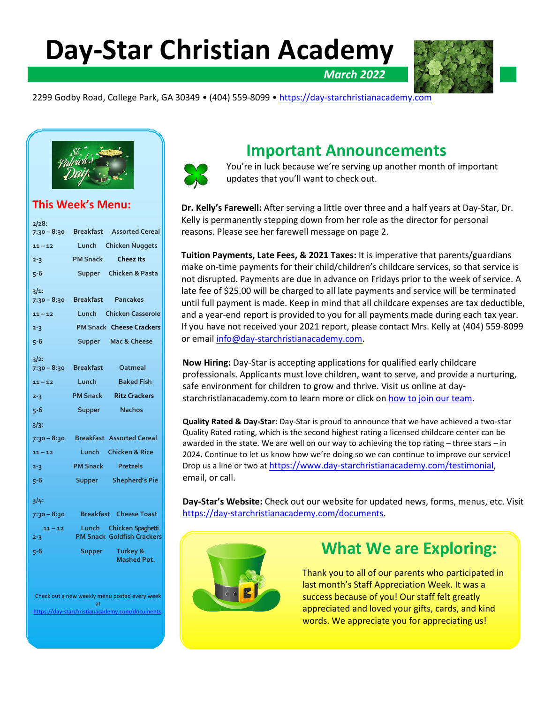**Day-Star Christian Academy**



2299 Godby Road, College Park, GA 30349 • (404) 559-8099 • [https://day-starchristianacademy.com](https://day-starchristianacademy.com/)



## **This Week's Menu:**

| 2/28:                                               |                          |                                       |
|-----------------------------------------------------|--------------------------|---------------------------------------|
|                                                     |                          | 7:30 - 8:30 Breakfast Assorted Cereal |
| $11 - 12$                                           |                          | Lunch Chicken Nuggets                 |
| $2 - 3$                                             | <b>PM Snack</b>          | <b>Cheez Its</b>                      |
| 5-6                                                 |                          | Supper Chicken & Pasta                |
| 3/1:                                                |                          |                                       |
| $7:30 - 8:30$                                       |                          | <b>Breakfast Pancakes</b>             |
| $11 - 12$                                           |                          | Lunch Chicken Casserole               |
| $2 - 3$                                             |                          | <b>PM Snack Cheese Crackers</b>       |
| 5-6                                                 |                          | Supper Mac & Cheese                   |
| $3/2$ :                                             |                          |                                       |
| 7:30 – 8:30                                         | <b>Breakfast</b>         | Oatmeal                               |
| $11 - 12$                                           | Lunch                    | <b>Baked Fish</b>                     |
| $2 - 3$                                             |                          | <b>PM Snack Ritz Crackers</b>         |
| $5 - 6$                                             | <b>Supper</b>            | <b>Nachos</b>                         |
| $3/3$ :                                             |                          |                                       |
| 7:30 – 8:30                                         |                          | <b>Breakfast Assorted Cereal</b>      |
| $11 - 12$                                           |                          | Lunch Chicken & Rice                  |
| $2 - 3$                                             | <b>PM Snack Pretzels</b> |                                       |
| 5-6                                                 |                          | Supper Shepherd's Pie                 |
| 3/4:                                                |                          |                                       |
| 7:30 – 8:30                                         |                          | <b>Breakfast</b> Cheese Toast         |
| $11 - 12$                                           |                          | Lunch Chicken Spaghetti               |
| $2 - 3$                                             |                          | <b>PM Snack Goldfish Crackers</b>     |
| 5-6                                                 | Supper                   | Turkey &<br><b>Mashed Pot.</b>        |
|                                                     |                          |                                       |
| Check out a new weekly menu posted every week<br>at |                          |                                       |
| https://day-starchristianacademy.com/documents      |                          |                                       |



## **Important Announcements**

You're in luck because we're serving up another month of important updates that you'll want to check out.

*March 2022*

**Dr. Kelly's Farewell:** After serving a little over three and a half years at Day-Star, Dr. Kelly is permanently stepping down from her role as the director for personal reasons. Please see her farewell message on page 2.

**Tuition Payments, Late Fees, & 2021 Taxes:** It is imperative that parents/guardians make on-time payments for their child/children's childcare services, so that service is not disrupted. Payments are due in advance on Fridays prior to the week of service. A late fee of \$25.00 will be charged to all late payments and service will be terminated until full payment is made. Keep in mind that all childcare expenses are tax deductible, and a year-end report is provided to you for all payments made during each tax year. If you have not received your 2021 report, please contact Mrs. Kelly at (404) 559-8099 or emai[l info@day-starchristianacademy.com.](mailto:info@day-starchristianacademy.com)

**Now Hiring:** Day-Star is accepting applications for qualified early childcare professionals. Applicants must love children, want to serve, and provide a nurturing, safe environment for children to grow and thrive. Visit us online at daystarchristianacademy.com to learn more or click on [how to join our team.](https://www.day-starchristianacademy.com/join-our-team)

**Quality Rated & Day-Star:** Day-Star is proud to announce that we have achieved a two-star Quality Rated rating, which is the second highest rating a licensed childcare center can be awarded in the state. We are well on our way to achieving the top rating  $-$  three stars  $-$  in 2024. Continue to let us know how we're doing so we can continue to improve our service! Drop us a line or two at [https://www.day-starchristianacademy.com/testimonial,](https://www.day-starchristianacademy.com/testimonial) email, or call.

**Day-Star's Website:** Check out our website for updated news, forms, menus, etc. Visit [https://day-starchristianacademy.com/documents.](https://day-starchristianacademy.com/documents)



# **What We are Exploring:**

Thank you to all of our parents who participated in last month's Staff Appreciation Week. It was a success because of you! Our staff felt greatly appreciated and loved your gifts, cards, and kind words. We appreciate you for appreciating us!